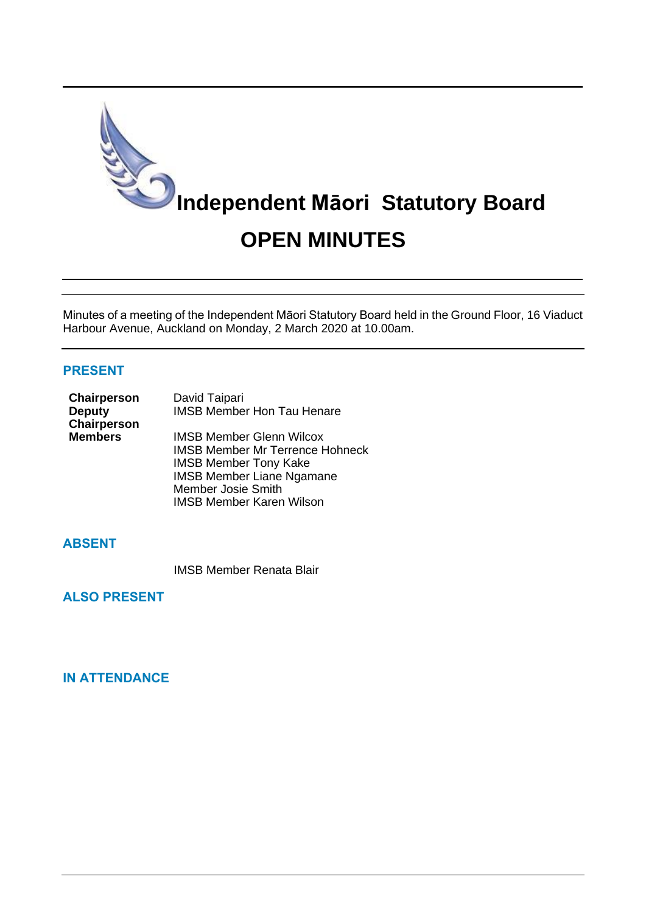

Minutes of a meeting of the Independent Māori Statutory Board held in the Ground Floor, 16 Viaduct Harbour Avenue, Auckland on Monday, 2 March 2020 at 10.00am.

#### **PRESENT**

| Chairperson    | David Taipari                          |
|----------------|----------------------------------------|
| <b>Deputy</b>  | <b>IMSB Member Hon Tau Henare</b>      |
| Chairperson    |                                        |
| <b>Members</b> | <b>IMSB Member Glenn Wilcox</b>        |
|                | <b>IMSB Member Mr Terrence Hohneck</b> |
|                | <b>IMSB Member Tony Kake</b>           |
|                | <b>IMSB Member Liane Ngamane</b>       |

Member Josie Smith

**ABSENT**

IMSB Member Renata Blair

IMSB Member Karen Wilson

**ALSO PRESENT**

**IN ATTENDANCE**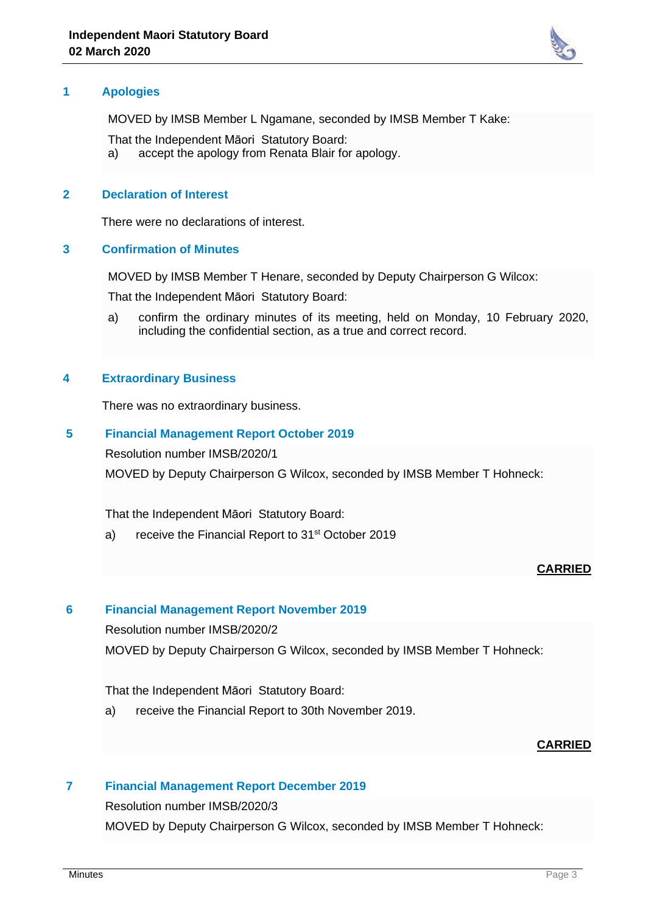

#### **1 Apologies**

MOVED by IMSB Member L Ngamane, seconded by IMSB Member T Kake:

That the Independent Māori Statutory Board:

a) accept the apology from Renata Blair for apology.

#### **2 Declaration of Interest**

There were no declarations of interest.

#### **3 Confirmation of Minutes**

MOVED by IMSB Member T Henare, seconded by Deputy Chairperson G Wilcox:

That the Independent Māori Statutory Board:

a) confirm the ordinary minutes of its meeting, held on Monday, 10 February 2020, including the confidential section, as a true and correct record.

### **4 Extraordinary Business**

There was no extraordinary business.

### **5 Financial Management Report October 2019**

Resolution number IMSB/2020/1

MOVED by Deputy Chairperson G Wilcox, seconded by IMSB Member T Hohneck:

That the Independent Māori Statutory Board:

a) receive the Financial Report to 31<sup>st</sup> October 2019

### **CARRIED**

#### **6 Financial Management Report November 2019**

Resolution number IMSB/2020/2

MOVED by Deputy Chairperson G Wilcox, seconded by IMSB Member T Hohneck:

#### That the Independent Māori Statutory Board:

a) receive the Financial Report to 30th November 2019.

### **CARRIED**

### **7 Financial Management Report December 2019**

Resolution number IMSB/2020/3

MOVED by Deputy Chairperson G Wilcox, seconded by IMSB Member T Hohneck: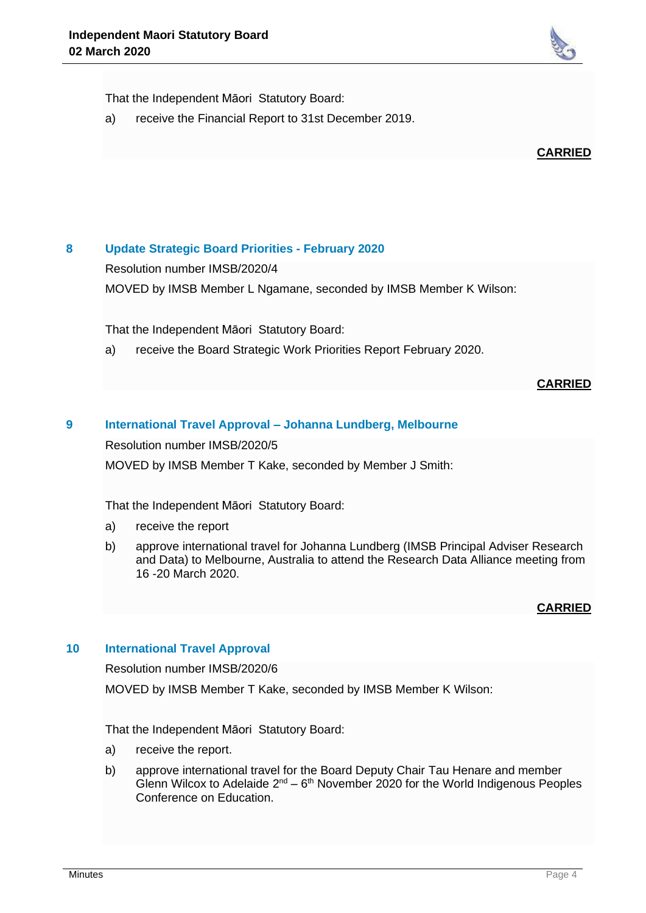

That the Independent Māori Statutory Board:

a) receive the Financial Report to 31st December 2019.



# **8 Update Strategic Board Priorities - February 2020**

Resolution number IMSB/2020/4

MOVED by IMSB Member L Ngamane, seconded by IMSB Member K Wilson:

That the Independent Māori Statutory Board:

a) receive the Board Strategic Work Priorities Report February 2020.

#### **CARRIED**

### **9 International Travel Approval – Johanna Lundberg, Melbourne**

Resolution number IMSB/2020/5

MOVED by IMSB Member T Kake, seconded by Member J Smith:

That the Independent Māori Statutory Board:

- a) receive the report
- b) approve international travel for Johanna Lundberg (IMSB Principal Adviser Research and Data) to Melbourne, Australia to attend the Research Data Alliance meeting from 16 -20 March 2020.

### **CARRIED**

### **10 International Travel Approval**

Resolution number IMSB/2020/6

MOVED by IMSB Member T Kake, seconded by IMSB Member K Wilson:

That the Independent Māori Statutory Board:

- a) receive the report.
- b) approve international travel for the Board Deputy Chair Tau Henare and member Glenn Wilcox to Adelaide  $2^{nd} - 6^{th}$  November 2020 for the World Indigenous Peoples Conference on Education.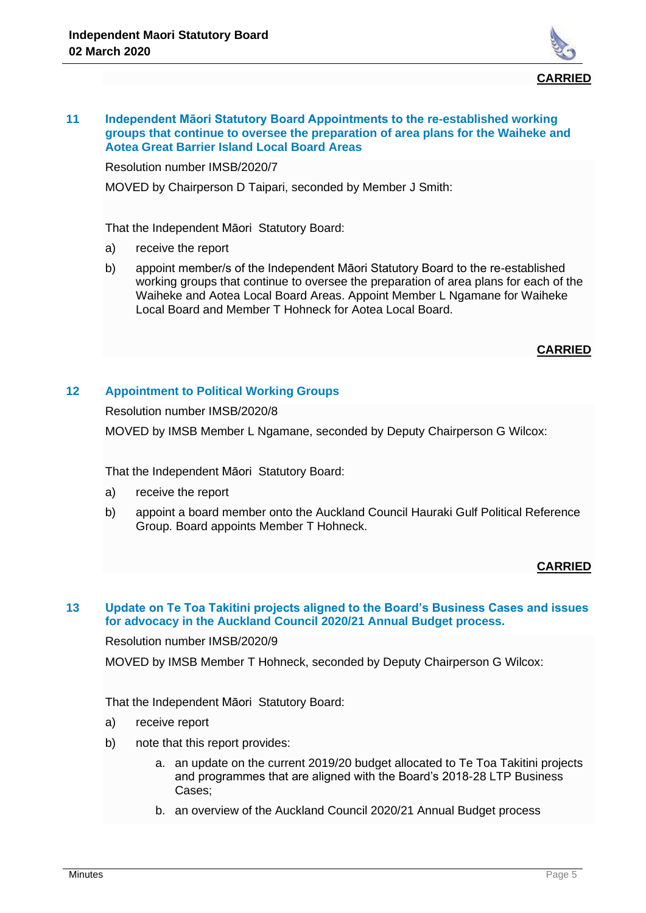

#### **11 Independent Māori Statutory Board Appointments to the re-established working groups that continue to oversee the preparation of area plans for the Waiheke and Aotea Great Barrier Island Local Board Areas**

Resolution number IMSB/2020/7

MOVED by Chairperson D Taipari, seconded by Member J Smith:

That the Independent Māori Statutory Board:

- a) receive the report
- b) appoint member/s of the Independent Māori Statutory Board to the re-established working groups that continue to oversee the preparation of area plans for each of the Waiheke and Aotea Local Board Areas. Appoint Member L Ngamane for Waiheke Local Board and Member T Hohneck for Aotea Local Board.

### **CARRIED**

# **12 Appointment to Political Working Groups**

Resolution number IMSB/2020/8 MOVED by IMSB Member L Ngamane, seconded by Deputy Chairperson G Wilcox:

That the Independent Māori Statutory Board:

- a) receive the report
- b) appoint a board member onto the Auckland Council Hauraki Gulf Political Reference Group. Board appoints Member T Hohneck.

# **CARRIED**

### **13 Update on Te Toa Takitini projects aligned to the Board's Business Cases and issues for advocacy in the Auckland Council 2020/21 Annual Budget process.**

Resolution number IMSB/2020/9

MOVED by IMSB Member T Hohneck, seconded by Deputy Chairperson G Wilcox:

That the Independent Māori Statutory Board:

- a) receive report
- b) note that this report provides:
	- a. an update on the current 2019/20 budget allocated to Te Toa Takitini projects and programmes that are aligned with the Board's 2018-28 LTP Business Cases;
	- b. an overview of the Auckland Council 2020/21 Annual Budget process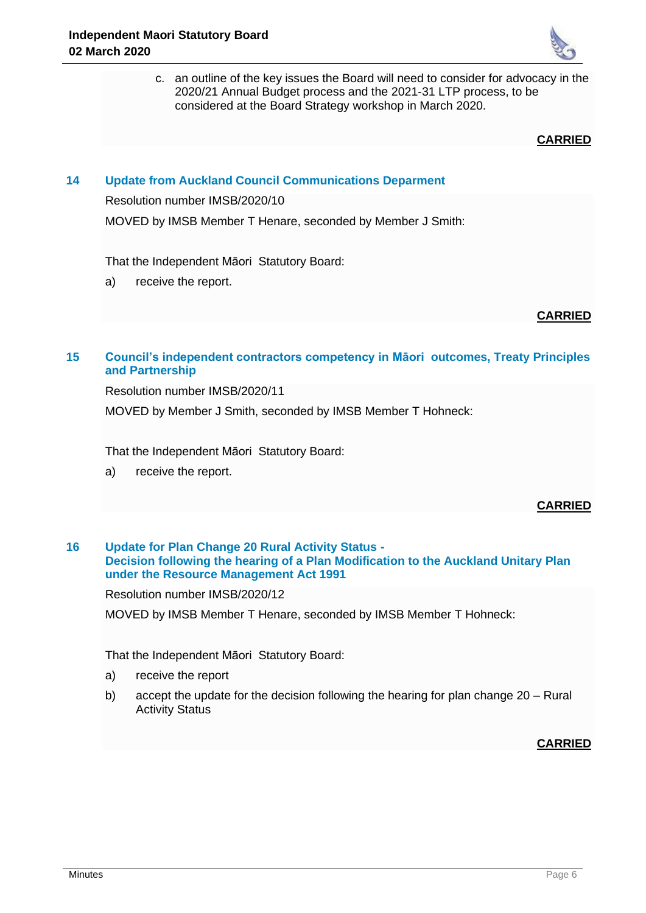

c. an outline of the key issues the Board will need to consider for advocacy in the 2020/21 Annual Budget process and the 2021-31 LTP process, to be considered at the Board Strategy workshop in March 2020.

**CARRIED**

## **14 Update from Auckland Council Communications Deparment**

Resolution number IMSB/2020/10

MOVED by IMSB Member T Henare, seconded by Member J Smith:

That the Independent Māori Statutory Board:

a) receive the report.

**CARRIED**

# **15 Council's independent contractors competency in Māori outcomes, Treaty Principles and Partnership**

Resolution number IMSB/2020/11

MOVED by Member J Smith, seconded by IMSB Member T Hohneck:

That the Independent Māori Statutory Board:

a) receive the report.

**CARRIED**

### **16 Update for Plan Change 20 Rural Activity Status - Decision following the hearing of a Plan Modification to the Auckland Unitary Plan under the Resource Management Act 1991**

Resolution number IMSB/2020/12

MOVED by IMSB Member T Henare, seconded by IMSB Member T Hohneck:

That the Independent Māori Statutory Board:

- a) receive the report
- b) accept the update for the decision following the hearing for plan change 20 Rural Activity Status

### **CARRIED**